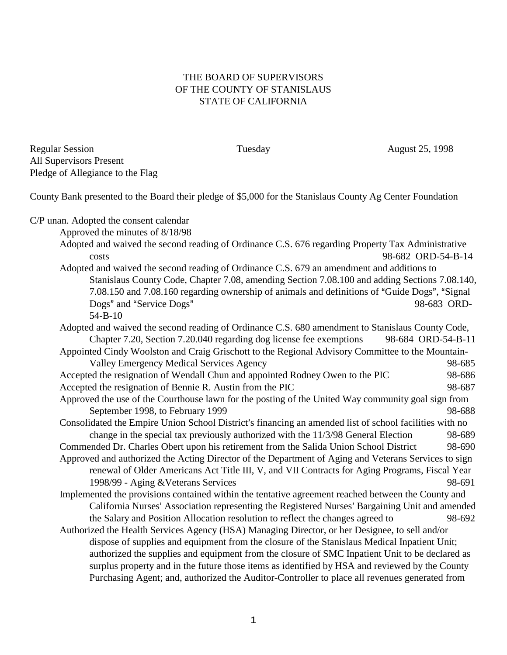## THE BOARD OF SUPERVISORS OF THE COUNTY OF STANISLAUS STATE OF CALIFORNIA

Regular Session Tuesday Tuesday August 25, 1998 All Supervisors Present Pledge of Allegiance to the Flag

County Bank presented to the Board their pledge of \$5,000 for the Stanislaus County Ag Center Foundation

C/P unan. Adopted the consent calendar

Approved the minutes of 8/18/98

- Adopted and waived the second reading of Ordinance C.S. 676 regarding Property Tax Administrative costs 98-682 ORD-54-B-14 Adopted and waived the second reading of Ordinance C.S. 679 an amendment and additions to
	- Stanislaus County Code, Chapter 7.08, amending Section 7.08.100 and adding Sections 7.08.140, 7.08.150 and 7.08.160 regarding ownership of animals and definitions of "Guide Dogs", "Signal Dogs" and "Service Dogs" 98-683 ORD-

Adopted and waived the second reading of Ordinance C.S. 680 amendment to Stanislaus County Code, Chapter 7.20, Section 7.20.040 regarding dog license fee exemptions 98-684 ORD-54-B-11 Appointed Cindy Woolston and Craig Grischott to the Regional Advisory Committee to the Mountain-Valley Emergency Medical Services Agency 98-685

- Accepted the resignation of Wendall Chun and appointed Rodney Owen to the PIC 98-686 Accepted the resignation of Bennie R. Austin from the PIC 98-687
- Approved the use of the Courthouse lawn for the posting of the United Way community goal sign from September 1998, to February 1999 98-688
- Consolidated the Empire Union School District's financing an amended list of school facilities with no change in the special tax previously authorized with the 11/3/98 General Election 98-689
- Commended Dr. Charles Obert upon his retirement from the Salida Union School District 98-690 Approved and authorized the Acting Director of the Department of Aging and Veterans Services to sign renewal of Older Americans Act Title III, V, and VII Contracts for Aging Programs, Fiscal Year

1998/99 - Aging &Veterans Services 98-691

- Implemented the provisions contained within the tentative agreement reached between the County and California Nurses' Association representing the Registered Nurses' Bargaining Unit and amended the Salary and Position Allocation resolution to reflect the changes agreed to 98-692
- Authorized the Health Services Agency (HSA) Managing Director, or her Designee, to sell and/or dispose of supplies and equipment from the closure of the Stanislaus Medical Inpatient Unit; authorized the supplies and equipment from the closure of SMC Inpatient Unit to be declared as surplus property and in the future those items as identified by HSA and reviewed by the County Purchasing Agent; and, authorized the Auditor-Controller to place all revenues generated from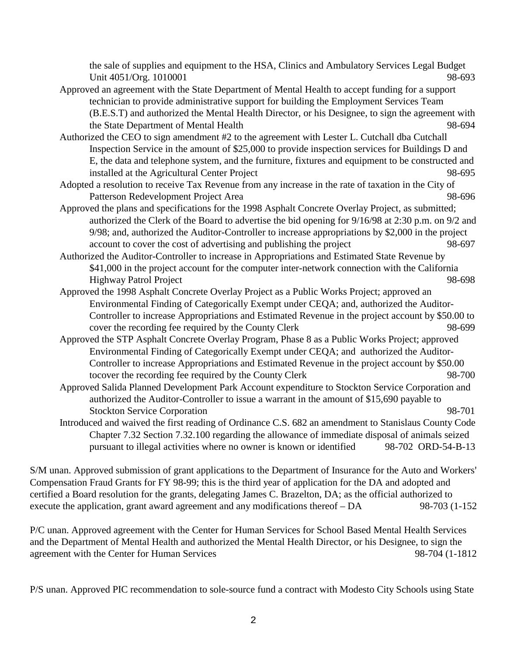the sale of supplies and equipment to the HSA, Clinics and Ambulatory Services Legal Budget Unit 4051/Org. 1010001 98-693

- Approved an agreement with the State Department of Mental Health to accept funding for a support technician to provide administrative support for building the Employment Services Team (B.E.S.T) and authorized the Mental Health Director, or his Designee, to sign the agreement with the State Department of Mental Health 98-694
- Authorized the CEO to sign amendment #2 to the agreement with Lester L. Cutchall dba Cutchall Inspection Service in the amount of \$25,000 to provide inspection services for Buildings D and E, the data and telephone system, and the furniture, fixtures and equipment to be constructed and installed at the Agricultural Center Project 98-695
- Adopted a resolution to receive Tax Revenue from any increase in the rate of taxation in the City of Patterson Redevelopment Project Area 98-696
- Approved the plans and specifications for the 1998 Asphalt Concrete Overlay Project, as submitted; authorized the Clerk of the Board to advertise the bid opening for 9/16/98 at 2:30 p.m. on 9/2 and 9/98; and, authorized the Auditor-Controller to increase appropriations by \$2,000 in the project account to cover the cost of advertising and publishing the project 98-697
- Authorized the Auditor-Controller to increase in Appropriations and Estimated State Revenue by \$41,000 in the project account for the computer inter-network connection with the California Highway Patrol Project 98-698
- Approved the 1998 Asphalt Concrete Overlay Project as a Public Works Project; approved an Environmental Finding of Categorically Exempt under CEQA; and, authorized the Auditor-Controller to increase Appropriations and Estimated Revenue in the project account by \$50.00 to cover the recording fee required by the County Clerk 98-699
- Approved the STP Asphalt Concrete Overlay Program, Phase 8 as a Public Works Project; approved Environmental Finding of Categorically Exempt under CEQA; and authorized the Auditor-Controller to increase Appropriations and Estimated Revenue in the project account by \$50.00 tocover the recording fee required by the County Clerk 98-700
- Approved Salida Planned Development Park Account expenditure to Stockton Service Corporation and authorized the Auditor-Controller to issue a warrant in the amount of \$15,690 payable to Stockton Service Corporation 98-701
- Introduced and waived the first reading of Ordinance C.S. 682 an amendment to Stanislaus County Code Chapter 7.32 Section 7.32.100 regarding the allowance of immediate disposal of animals seized pursuant to illegal activities where no owner is known or identified 98-702 ORD-54-B-13

S/M unan. Approved submission of grant applications to the Department of Insurance for the Auto and Workers' Compensation Fraud Grants for FY 98-99; this is the third year of application for the DA and adopted and certified a Board resolution for the grants, delegating James C. Brazelton, DA; as the official authorized to execute the application, grant award agreement and any modifications thereof – DA 98-703 (1-152

P/C unan. Approved agreement with the Center for Human Services for School Based Mental Health Services and the Department of Mental Health and authorized the Mental Health Director, or his Designee, to sign the agreement with the Center for Human Services 98-704 (1-1812

P/S unan. Approved PIC recommendation to sole-source fund a contract with Modesto City Schools using State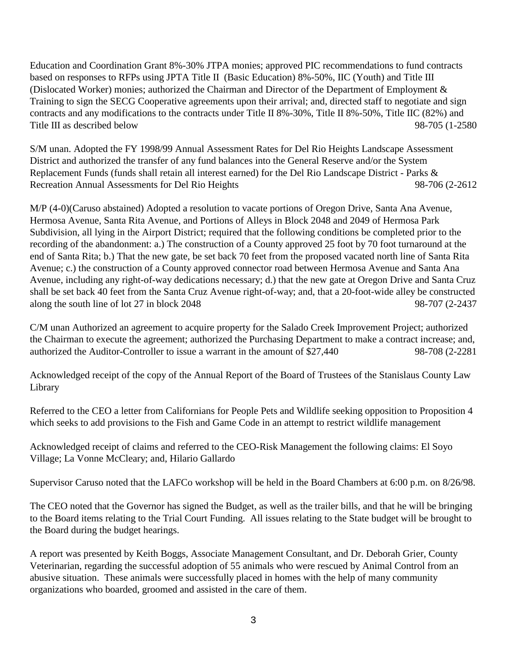Education and Coordination Grant 8%-30% JTPA monies; approved PIC recommendations to fund contracts based on responses to RFPs using JPTA Title II (Basic Education) 8%-50%, IIC (Youth) and Title III (Dislocated Worker) monies; authorized the Chairman and Director of the Department of Employment & Training to sign the SECG Cooperative agreements upon their arrival; and, directed staff to negotiate and sign contracts and any modifications to the contracts under Title II 8%-30%, Title II 8%-50%, Title IIC (82%) and Title III as described below 98-705 (1-2580)

S/M unan. Adopted the FY 1998/99 Annual Assessment Rates for Del Rio Heights Landscape Assessment District and authorized the transfer of any fund balances into the General Reserve and/or the System Replacement Funds (funds shall retain all interest earned) for the Del Rio Landscape District - Parks & Recreation Annual Assessments for Del Rio Heights 98-706 (2-2612

M/P (4-0)(Caruso abstained) Adopted a resolution to vacate portions of Oregon Drive, Santa Ana Avenue, Hermosa Avenue, Santa Rita Avenue, and Portions of Alleys in Block 2048 and 2049 of Hermosa Park Subdivision, all lying in the Airport District; required that the following conditions be completed prior to the recording of the abandonment: a.) The construction of a County approved 25 foot by 70 foot turnaround at the end of Santa Rita; b.) That the new gate, be set back 70 feet from the proposed vacated north line of Santa Rita Avenue; c.) the construction of a County approved connector road between Hermosa Avenue and Santa Ana Avenue, including any right-of-way dedications necessary; d.) that the new gate at Oregon Drive and Santa Cruz shall be set back 40 feet from the Santa Cruz Avenue right-of-way; and, that a 20-foot-wide alley be constructed along the south line of lot 27 in block 2048 98-707 (2-2437

C/M unan Authorized an agreement to acquire property for the Salado Creek Improvement Project; authorized the Chairman to execute the agreement; authorized the Purchasing Department to make a contract increase; and, authorized the Auditor-Controller to issue a warrant in the amount of \$27,440 98-708 (2-2281

Acknowledged receipt of the copy of the Annual Report of the Board of Trustees of the Stanislaus County Law Library

Referred to the CEO a letter from Californians for People Pets and Wildlife seeking opposition to Proposition 4 which seeks to add provisions to the Fish and Game Code in an attempt to restrict wildlife management

Acknowledged receipt of claims and referred to the CEO-Risk Management the following claims: El Soyo Village; La Vonne McCleary; and, Hilario Gallardo

Supervisor Caruso noted that the LAFCo workshop will be held in the Board Chambers at 6:00 p.m. on 8/26/98.

The CEO noted that the Governor has signed the Budget, as well as the trailer bills, and that he will be bringing to the Board items relating to the Trial Court Funding. All issues relating to the State budget will be brought to the Board during the budget hearings.

A report was presented by Keith Boggs, Associate Management Consultant, and Dr. Deborah Grier, County Veterinarian, regarding the successful adoption of 55 animals who were rescued by Animal Control from an abusive situation. These animals were successfully placed in homes with the help of many community organizations who boarded, groomed and assisted in the care of them.